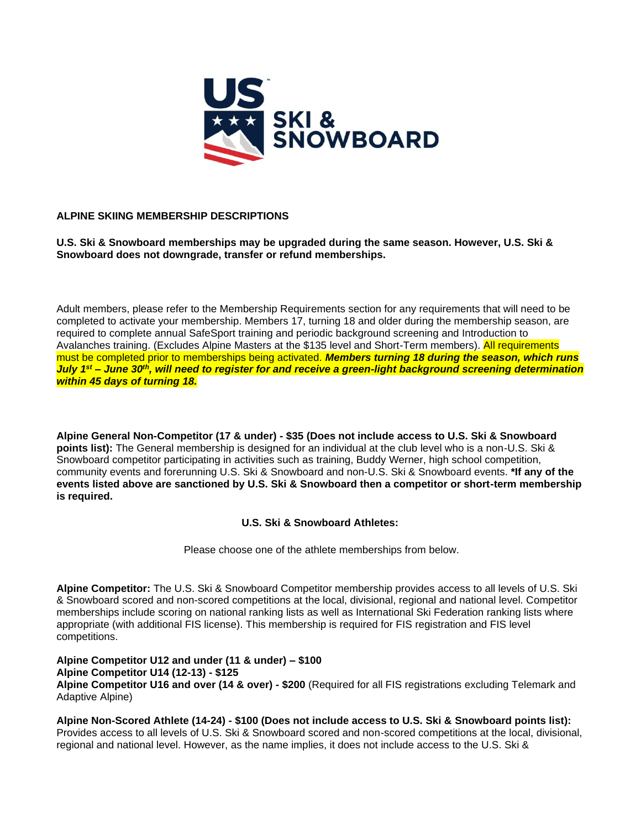

# **ALPINE SKIING MEMBERSHIP DESCRIPTIONS**

**U.S. Ski & Snowboard memberships may be upgraded during the same season. However, U.S. Ski & Snowboard does not downgrade, transfer or refund memberships.**

Adult members, please refer to the Membership Requirements section for any requirements that will need to be completed to activate your membership. Members 17, turning 18 and older during the membership season, are required to complete annual SafeSport training and periodic background screening and Introduction to Avalanches training. (Excludes Alpine Masters at the \$135 level and Short-Term members). All requirements must be completed prior to memberships being activated. *Members turning 18 during the season, which runs July 1st – June 30th, will need to register for and receive a green-light background screening determination within 45 days of turning 18.*

**Alpine General Non-Competitor (17 & under) - \$35 (Does not include access to U.S. Ski & Snowboard points list):** The General membership is designed for an individual at the club level who is a non-U.S. Ski & Snowboard competitor participating in activities such as training, Buddy Werner, high school competition, community events and forerunning U.S. Ski & Snowboard and non-U.S. Ski & Snowboard events. **\*If any of the events listed above are sanctioned by U.S. Ski & Snowboard then a competitor or short-term membership is required.**

# **U.S. Ski & Snowboard Athletes:**

Please choose one of the athlete memberships from below.

**Alpine Competitor:** The U.S. Ski & Snowboard Competitor membership provides access to all levels of U.S. Ski & Snowboard scored and non-scored competitions at the local, divisional, regional and national level. Competitor memberships include scoring on national ranking lists as well as International Ski Federation ranking lists where appropriate (with additional FIS license). This membership is required for FIS registration and FIS level competitions.

**Alpine Competitor U12 and under (11 & under) – \$100 Alpine Competitor U14 (12-13) - \$125 Alpine Competitor U16 and over (14 & over) - \$200** (Required for all FIS registrations excluding Telemark and Adaptive Alpine)

**Alpine Non-Scored Athlete (14-24) - \$100 (Does not include access to U.S. Ski & Snowboard points list):** Provides access to all levels of U.S. Ski & Snowboard scored and non-scored competitions at the local, divisional, regional and national level. However, as the name implies, it does not include access to the U.S. Ski &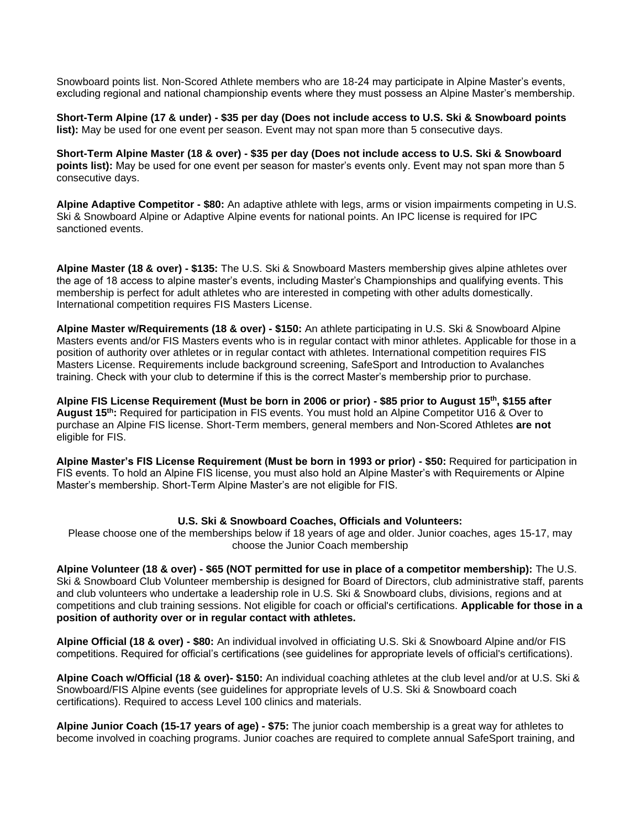Snowboard points list. Non-Scored Athlete members who are 18-24 may participate in Alpine Master's events, excluding regional and national championship events where they must possess an Alpine Master's membership.

**Short-Term Alpine (17 & under) - \$35 per day (Does not include access to U.S. Ski & Snowboard points list):** May be used for one event per season. Event may not span more than 5 consecutive days.

**Short-Term Alpine Master (18 & over) - \$35 per day (Does not include access to U.S. Ski & Snowboard points list):** May be used for one event per season for master's events only. Event may not span more than 5 consecutive days.

**Alpine Adaptive Competitor - \$80:** An adaptive athlete with legs, arms or vision impairments competing in U.S. Ski & Snowboard Alpine or Adaptive Alpine events for national points. An IPC license is required for IPC sanctioned events.

**Alpine Master (18 & over) - \$135:** The U.S. Ski & Snowboard Masters membership gives alpine athletes over the age of 18 access to alpine master's events, including Master's Championships and qualifying events. This membership is perfect for adult athletes who are interested in competing with other adults domestically. International competition requires FIS Masters License.

**Alpine Master w/Requirements (18 & over) - \$150:** An athlete participating in U.S. Ski & Snowboard Alpine Masters events and/or FIS Masters events who is in regular contact with minor athletes. Applicable for those in a position of authority over athletes or in regular contact with athletes. International competition requires FIS Masters License. Requirements include background screening, SafeSport and Introduction to Avalanches training. Check with your club to determine if this is the correct Master's membership prior to purchase.

**Alpine FIS License Requirement (Must be born in 2006 or prior) - \$85 prior to August 15th, \$155 after August 15th:** Required for participation in FIS events. You must hold an Alpine Competitor U16 & Over to purchase an Alpine FIS license. Short-Term members, general members and Non-Scored Athletes **are not** eligible for FIS.

**Alpine Master's FIS License Requirement (Must be born in 1993 or prior) - \$50:** Required for participation in FIS events. To hold an Alpine FIS license, you must also hold an Alpine Master's with Requirements or Alpine Master's membership. Short-Term Alpine Master's are not eligible for FIS.

### **U.S. Ski & Snowboard Coaches, Officials and Volunteers:**

Please choose one of the memberships below if 18 years of age and older. Junior coaches, ages 15-17, may choose the Junior Coach membership

**Alpine Volunteer (18 & over) - \$65 (NOT permitted for use in place of a competitor membership):** The U.S. Ski & Snowboard Club Volunteer membership is designed for Board of Directors, club administrative staff, parents and club volunteers who undertake a leadership role in U.S. Ski & Snowboard clubs, divisions, regions and at competitions and club training sessions. Not eligible for coach or official's certifications. **Applicable for those in a position of authority over or in regular contact with athletes.**

**Alpine Official (18 & over) - \$80:** An individual involved in officiating U.S. Ski & Snowboard Alpine and/or FIS competitions. Required for official's certifications (see guidelines for appropriate levels of official's certifications).

**Alpine Coach w/Official (18 & over)- \$150:** An individual coaching athletes at the club level and/or at U.S. Ski & Snowboard/FIS Alpine events (see guidelines for appropriate levels of U.S. Ski & Snowboard coach certifications). Required to access Level 100 clinics and materials.

**Alpine Junior Coach (15-17 years of age) - \$75:** The junior coach membership is a great way for athletes to become involved in coaching programs. Junior coaches are required to complete annual SafeSport training, and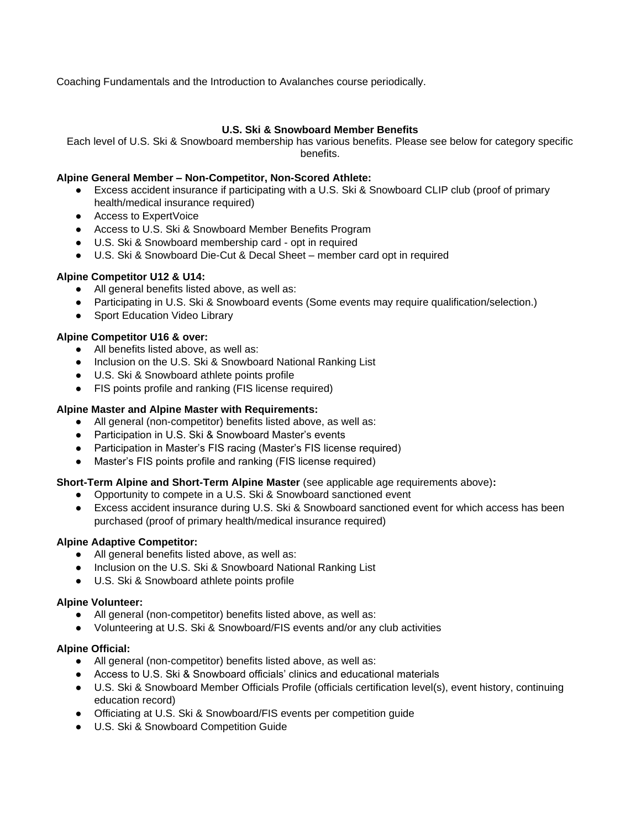Coaching Fundamentals and the Introduction to Avalanches course periodically.

# **U.S. Ski & Snowboard Member Benefits**

Each level of U.S. Ski & Snowboard membership has various benefits. Please see below for category specific benefits.

# **Alpine General Member – Non-Competitor, Non-Scored Athlete:**

- Excess accident insurance if participating with a U.S. Ski & Snowboard CLIP club (proof of primary health/medical insurance required)
- Access to ExpertVoice
- Access to U.S. Ski & Snowboard Member Benefits Program
- U.S. Ski & Snowboard membership card opt in required
- U.S. Ski & Snowboard Die-Cut & Decal Sheet member card opt in required

## **Alpine Competitor U12 & U14:**

- All general benefits listed above, as well as:
- Participating in U.S. Ski & Snowboard events (Some events may require qualification/selection.)
- Sport Education Video Library

## **Alpine Competitor U16 & over:**

- All benefits listed above, as well as:
- Inclusion on the U.S. Ski & Snowboard National Ranking List
- U.S. Ski & Snowboard athlete points profile
- FIS points profile and ranking (FIS license required)

## **Alpine Master and Alpine Master with Requirements:**

- All general (non-competitor) benefits listed above, as well as:
- Participation in U.S. Ski & Snowboard Master's events
- Participation in Master's FIS racing (Master's FIS license required)
- Master's FIS points profile and ranking (FIS license required)

### **Short-Term Alpine and Short-Term Alpine Master** (see applicable age requirements above)**:**

- Opportunity to compete in a U.S. Ski & Snowboard sanctioned event
- Excess accident insurance during U.S. Ski & Snowboard sanctioned event for which access has been purchased (proof of primary health/medical insurance required)

### **Alpine Adaptive Competitor:**

- All general benefits listed above, as well as:
- Inclusion on the U.S. Ski & Snowboard National Ranking List
- U.S. Ski & Snowboard athlete points profile

### **Alpine Volunteer:**

- All general (non-competitor) benefits listed above, as well as:
- Volunteering at U.S. Ski & Snowboard/FIS events and/or any club activities

### **Alpine Official:**

- All general (non-competitor) benefits listed above, as well as:
- Access to U.S. Ski & Snowboard officials' clinics and educational materials
- U.S. Ski & Snowboard Member Officials Profile (officials certification level(s), event history, continuing education record)
- Officiating at U.S. Ski & Snowboard/FIS events per competition guide
- U.S. Ski & Snowboard Competition Guide